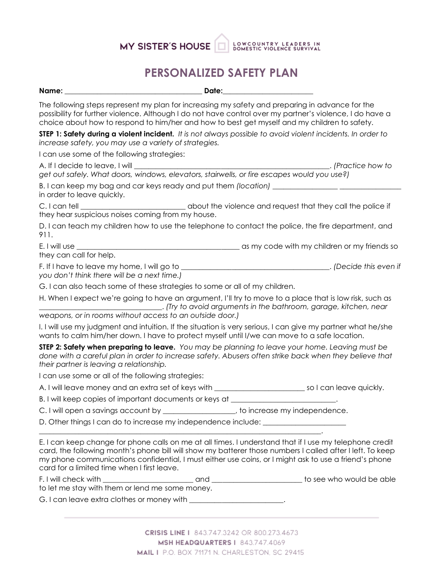# MY SISTER'S HOUSE BOWCOUNTRY LEADERS IN

### **PERSONALIZED SAFETY PLAN**

|                                                                                                                                                                                                                                                                                                                                                                              | <u> 1989 - Andrea Albert III, martin a</u> |
|------------------------------------------------------------------------------------------------------------------------------------------------------------------------------------------------------------------------------------------------------------------------------------------------------------------------------------------------------------------------------|--------------------------------------------|
| The following steps represent my plan for increasing my safety and preparing in advance for the<br>possibility for further violence. Although I do not have control over my partner's violence, I do have a<br>choice about how to respond to him/her and how to best get myself and my children to safety.                                                                  |                                            |
| STEP 1: Safety during a violent incident. It is not always possible to avoid violent incidents. In order to<br>increase safety, you may use a variety of strategies.                                                                                                                                                                                                         |                                            |
| I can use some of the following strategies:                                                                                                                                                                                                                                                                                                                                  |                                            |
| get out safely. What doors, windows, elevators, stairwells, or fire escapes would you use?)                                                                                                                                                                                                                                                                                  |                                            |
| B. I can keep my bag and car keys ready and put them (location) _________________<br>in order to leave quickly.                                                                                                                                                                                                                                                              |                                            |
| they hear suspicious noises coming from my house.                                                                                                                                                                                                                                                                                                                            |                                            |
| D. I can teach my children how to use the telephone to contact the police, the fire department, and<br>911.                                                                                                                                                                                                                                                                  |                                            |
| they can call for help.                                                                                                                                                                                                                                                                                                                                                      |                                            |
|                                                                                                                                                                                                                                                                                                                                                                              |                                            |
| you don't think there will be a next time.)                                                                                                                                                                                                                                                                                                                                  |                                            |
| G. I can also teach some of these strategies to some or all of my children.                                                                                                                                                                                                                                                                                                  |                                            |
| H. When I expect we're going to have an argument, I'll try to move to a place that is low risk, such as<br>weapons, or in rooms without access to an outside door.)                                                                                                                                                                                                          |                                            |
| I. I will use my judgment and intuition. If the situation is very serious, I can give my partner what he/she<br>wants to calm him/her down. I have to protect myself until I/we can move to a safe location.                                                                                                                                                                 |                                            |
| <b>STEP 2: Safety when preparing to leave.</b> You may be planning to leave your home. Leaving must be<br>done with a careful plan in order to increase safety. Abusers often strike back when they believe that<br>their partner is leaving a relationship.                                                                                                                 |                                            |
| I can use some or all of the following strategies:                                                                                                                                                                                                                                                                                                                           |                                            |
|                                                                                                                                                                                                                                                                                                                                                                              |                                            |
| B. I will keep copies of important documents or keys at ________________________                                                                                                                                                                                                                                                                                             |                                            |
| C. I will open a savings account by _________________, to increase my independence.                                                                                                                                                                                                                                                                                          |                                            |
| D. Other things I can do to increase my independence include: __________________                                                                                                                                                                                                                                                                                             |                                            |
| E. I can keep change for phone calls on me at all times. I understand that if I use my telephone credit<br>card, the following month's phone bill will show my batterer those numbers I called after I left. To keep<br>my phone communications confidential, I must either use coins, or I might ask to use a friend's phone<br>card for a limited time when I first leave. |                                            |
|                                                                                                                                                                                                                                                                                                                                                                              |                                            |
| to let me stay with them or lend me some money.                                                                                                                                                                                                                                                                                                                              |                                            |
| G. I can leave extra clothes or money with _______________________.                                                                                                                                                                                                                                                                                                          |                                            |

CRISIS LINE | 843.747.3242 OR 800.273.4673 **MSH HEADQUARTERS | 843.747.4069** MAIL I P.O. BOX 71171 N. CHARLESTON, SC 29415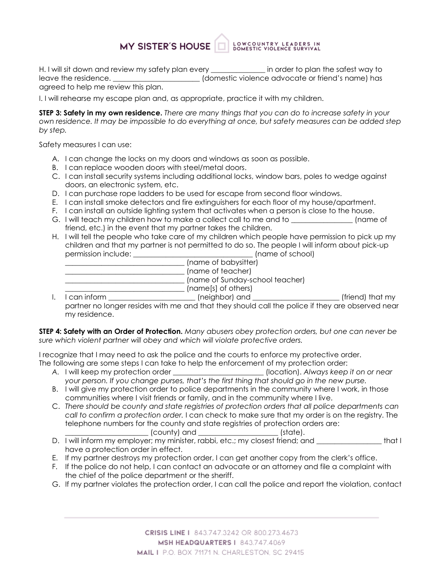#### MY SISTER'S HOUSE LOWCOUNTRY LEADERS IN<br>DOMESTIC VIOLENCE SURVIVAL

H. I will sit down and review my safety plan every \_\_\_\_\_\_\_\_\_\_\_\_\_\_\_ in order to plan the safest way to leave the residence. \_\_\_\_\_\_\_\_\_\_\_\_\_\_\_\_\_\_\_\_\_\_\_\_ (domestic violence advocate or friend's name) has agreed to help me review this plan.

I. I will rehearse my escape plan and, as appropriate, practice it with my children.

**STEP 3: Safety in my own residence.** *There are many things that you can do to increase safety in your own residence. It may be impossible to do everything at once, but safety measures can be added step by step.*

Safety measures I can use:

- A. I can change the locks on my doors and windows as soon as possible.
- B. I can replace wooden doors with steel/metal doors.
- C. I can install security systems including additional locks, window bars, poles to wedge against doors, an electronic system, etc.
- D. I can purchase rope ladders to be used for escape from second floor windows.
- E. I can install smoke detectors and fire extinguishers for each floor of my house/apartment.
- F. I can install an outside lighting system that activates when a person is close to the house.
- G. I will teach my children how to make a collect call to me and to  $\qquad \qquad$  (name of friend, etc.) in the event that my partner takes the children.
- H. I will tell the people who take care of my children which people have permission to pick up my children and that my partner is not permitted to do so. The people I will inform about pick-up permission include: \_\_\_\_\_\_\_\_\_\_\_\_\_\_\_\_\_\_\_\_\_\_\_\_\_\_\_\_\_\_\_\_\_ (name of school)

|            | (name of babysitter)            |
|------------|---------------------------------|
|            | (name of teacher)               |
|            | (name of Sunday-school teacher) |
|            | (name[s] of others)             |
| ogn inform | In aish ball and                |

I. I can inform \_\_\_\_\_\_\_\_\_\_\_\_\_\_\_\_\_\_\_\_\_\_\_\_\_\_\_(neighbor) and \_\_\_\_\_\_\_\_\_\_\_\_\_\_\_\_\_\_\_\_\_\_\_\_\_\_\_\_(friend) that my partner no longer resides with me and that they should call the police if they are observed near my residence.

**STEP 4: Safety with an Order of Protection.** *Many abusers obey protection orders, but one can never be sure which violent partner will obey and which will violate protective orders.*

I recognize that I may need to ask the police and the courts to enforce my protective order. The following are some steps I can take to help the enforcement of my protection order:

- *A.* I will keep my protection order \_\_\_\_\_\_\_\_\_\_\_\_\_\_\_\_\_\_\_\_\_\_\_\_\_ (location). *Always keep it on or near your person. If you change purses, that's the first thing that should go in the new purse.*
- B. I will give my protection order to police departments in the community where I work, in those communities where I visit friends or family, and in the community where I live.
- C. *There should be county and state registries of protection orders that all police departments can call to confirm a protection order.* I can check to make sure that my order is on the registry. The telephone numbers for the county and state registries of protection orders are:
	- \_\_\_\_\_\_\_\_\_\_\_\_\_\_\_\_\_\_\_\_\_\_\_ (county) and \_\_\_\_\_\_\_\_\_\_\_\_\_\_\_\_\_\_\_\_\_\_ (state).
- D. I will inform my employer; my minister, rabbi, etc.; my closest friend; and \_\_\_\_\_\_\_\_\_\_\_\_\_\_\_\_\_\_\_\_\_ that I have a protection order in effect.
- E. If my partner destroys my protection order, I can get another copy from the clerk's office.
- F. If the police do not help, I can contact an advocate or an attorney and file a complaint with the chief of the police department or the sheriff.
- G. If my partner violates the protection order, I can call the police and report the violation, contact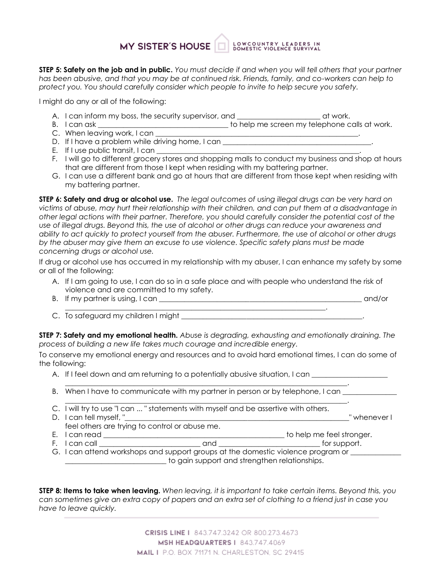## MY SISTER'S HOUSE BOWCOUNTRY LEADERS IN

**STEP 5: Safety on the job and in public.** You must decide if and when you will tell others that your partner *has been abusive, and that you may be at continued risk. Friends, family, and co-workers can help to protect you. You should carefully consider which people to invite to help secure you safety.*

I might do any or all of the following:

- A. I can inform my boss, the security supervisor, and \_\_\_\_\_\_\_\_\_\_\_\_\_\_\_\_\_\_\_\_\_\_\_\_\_\_ at work.
- B. I can ask \_\_\_\_\_\_\_\_\_\_\_\_\_\_\_\_\_\_\_\_\_\_\_\_\_\_\_\_\_\_\_\_\_\_\_\_ to help me screen my telephone calls at work.
- C. When leaving work, I can \_\_\_\_\_\_\_\_\_\_\_\_\_\_\_\_\_\_\_\_\_\_\_\_\_\_\_\_\_\_\_\_\_\_\_\_\_\_\_\_\_\_\_\_\_\_\_\_\_\_\_\_\_\_\_\_.
- D. If I have a problem while driving home, I can \_\_\_\_\_\_\_\_\_\_\_\_\_\_\_\_\_\_\_\_\_\_\_\_\_\_\_\_\_\_\_
- E. If I use public transit, I can
- F. I will go to different grocery stores and shopping malls to conduct my business and shop at hours that are different from those I kept when residing with my battering partner.
- G. I can use a different bank and go at hours that are different from those kept when residing with my battering partner.

**STEP 6: Safety and drug or alcohol use.** *The legal outcomes of using illegal drugs can be very hard on victims of abuse, may hurt their relationship with their children, and can put them at a disadvantage in other legal actions with their partner. Therefore, you should carefully consider the potential cost of the use of illegal drugs. Beyond this, the use of alcohol or other drugs can reduce your awareness and ability to act quickly to protect yourself from the abuser. Furthermore, the use of alcohol or other drugs by the abuser may give them an excuse to use violence. Specific safety plans must be made concerning drugs or alcohol use.*

If drug or alcohol use has occurred in my relationship with my abuser, I can enhance my safety by some or all of the following:

- A. If I am going to use, I can do so in a safe place and with people who understand the risk of violence and are committed to my safety.
- B. If my partner is using, I can \_\_\_\_\_\_\_\_\_\_\_\_\_\_\_\_\_\_\_\_\_\_\_\_\_\_\_\_\_\_\_\_\_\_\_\_\_\_\_\_\_\_\_\_\_\_\_\_\_\_\_\_\_\_\_\_ and/or  $\mathcal{L}_\mathcal{L} = \mathcal{L}_\mathcal{L} = \mathcal{L}_\mathcal{L} = \mathcal{L}_\mathcal{L} = \mathcal{L}_\mathcal{L} = \mathcal{L}_\mathcal{L} = \mathcal{L}_\mathcal{L} = \mathcal{L}_\mathcal{L} = \mathcal{L}_\mathcal{L} = \mathcal{L}_\mathcal{L} = \mathcal{L}_\mathcal{L} = \mathcal{L}_\mathcal{L} = \mathcal{L}_\mathcal{L} = \mathcal{L}_\mathcal{L} = \mathcal{L}_\mathcal{L} = \mathcal{L}_\mathcal{L} = \mathcal{L}_\mathcal{L}$
- C. To safeguard my children I might

**STEP 7: Safety and my emotional health.** *Abuse is degrading, exhausting and emotionally draining. The process of building a new life takes much courage and incredible energy.*

To conserve my emotional energy and resources and to avoid hard emotional times, I can do some of the following:

A. If I feel down and am returning to a potentially abusive situation, I can  $\Box$ 

\_\_\_\_\_\_\_\_\_\_\_\_\_\_\_\_\_\_\_\_\_\_\_\_\_\_\_\_\_\_\_\_\_\_\_\_\_\_\_\_\_\_\_\_\_\_\_\_\_\_\_\_\_\_\_\_\_\_\_\_\_\_\_\_\_\_\_\_\_\_\_\_\_\_\_\_\_\_.

- \_\_\_\_\_\_\_\_\_\_\_\_\_\_\_\_\_\_\_\_\_\_\_\_\_\_\_\_\_\_\_\_\_\_\_\_\_\_\_\_\_\_\_\_\_\_\_\_\_\_\_\_\_\_\_\_\_\_\_\_\_\_\_\_\_\_\_\_\_\_\_\_\_\_\_\_\_\_. B. When I have to communicate with my partner in person or by telephone, I can \_\_\_\_\_\_\_\_\_\_\_\_\_
- C. I will try to use "I can ... " statements with myself and be assertive with others.
- D. I can tell myself, " The contract of the contract of the contract of the contract of the contract of the contract of the contract of the contract of the contract of the contract of the contract of the contract of the co feel others are trying to control or abuse me. E. I can read \_\_\_\_\_\_\_\_\_\_\_\_\_\_\_\_\_\_\_\_\_\_\_\_\_\_\_\_\_\_\_\_\_\_\_\_\_\_\_\_\_\_\_\_\_\_\_\_\_\_ to help me feel stronger. F. I can call \_\_\_\_\_\_\_\_\_\_\_\_\_\_\_\_\_\_\_\_\_\_\_\_\_\_\_\_ and \_\_\_\_\_\_\_\_\_\_\_\_\_\_\_\_\_\_\_\_\_\_\_\_\_\_\_\_ for support. G. I can attend workshops and support groups at the domestic violence program or \_\_\_\_\_\_\_\_\_\_\_\_\_\_\_\_\_\_\_\_\_\_\_\_\_\_\_\_\_
	- to gain support and strengthen relationships.

**STEP 8: Items to take when leaving.** *When leaving, it is important to take certain items. Beyond this, you can sometimes give an extra copy of papers and an extra set of clothing to a friend just in case you have to leave quickly.*